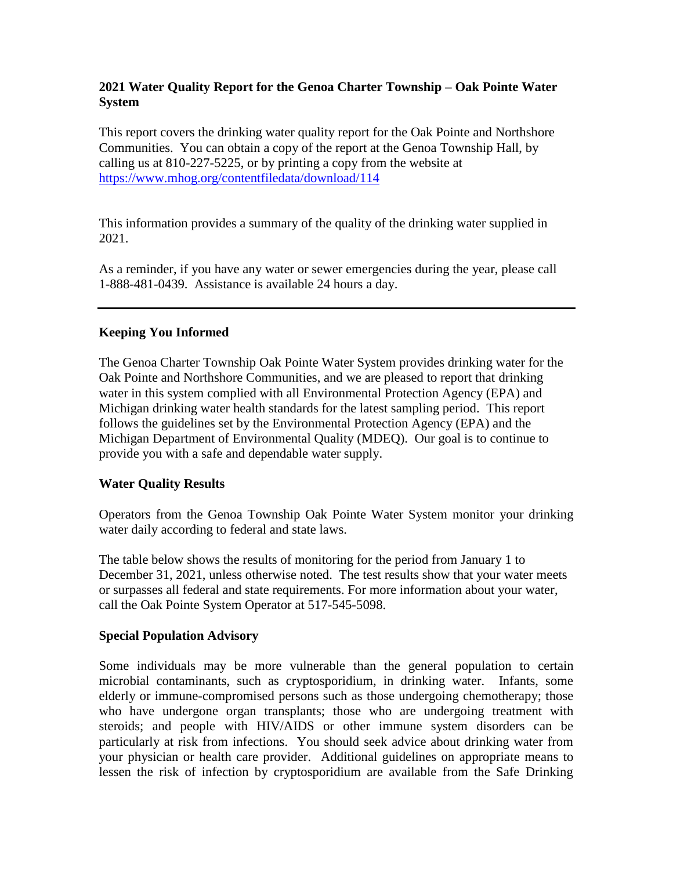# **2021 Water Quality Report for the Genoa Charter Township – Oak Pointe Water System**

This report covers the drinking water quality report for the Oak Pointe and Northshore Communities. You can obtain a copy of the report at the Genoa Township Hall, by calling us at 810-227-5225, or by printing a copy from the website at <https://www.mhog.org/contentfiledata/download/114>

This information provides a summary of the quality of the drinking water supplied in 2021.

As a reminder, if you have any water or sewer emergencies during the year, please call 1-888-481-0439. Assistance is available 24 hours a day.

## **Keeping You Informed**

The Genoa Charter Township Oak Pointe Water System provides drinking water for the Oak Pointe and Northshore Communities, and we are pleased to report that drinking water in this system complied with all Environmental Protection Agency (EPA) and Michigan drinking water health standards for the latest sampling period. This report follows the guidelines set by the Environmental Protection Agency (EPA) and the Michigan Department of Environmental Quality (MDEQ). Our goal is to continue to provide you with a safe and dependable water supply.

## **Water Quality Results**

Operators from the Genoa Township Oak Pointe Water System monitor your drinking water daily according to federal and state laws.

The table below shows the results of monitoring for the period from January 1 to December 31, 2021, unless otherwise noted. The test results show that your water meets or surpasses all federal and state requirements. For more information about your water, call the Oak Pointe System Operator at 517-545-5098.

## **Special Population Advisory**

Some individuals may be more vulnerable than the general population to certain microbial contaminants, such as cryptosporidium, in drinking water. Infants, some elderly or immune-compromised persons such as those undergoing chemotherapy; those who have undergone organ transplants; those who are undergoing treatment with steroids; and people with HIV/AIDS or other immune system disorders can be particularly at risk from infections. You should seek advice about drinking water from your physician or health care provider. Additional guidelines on appropriate means to lessen the risk of infection by cryptosporidium are available from the Safe Drinking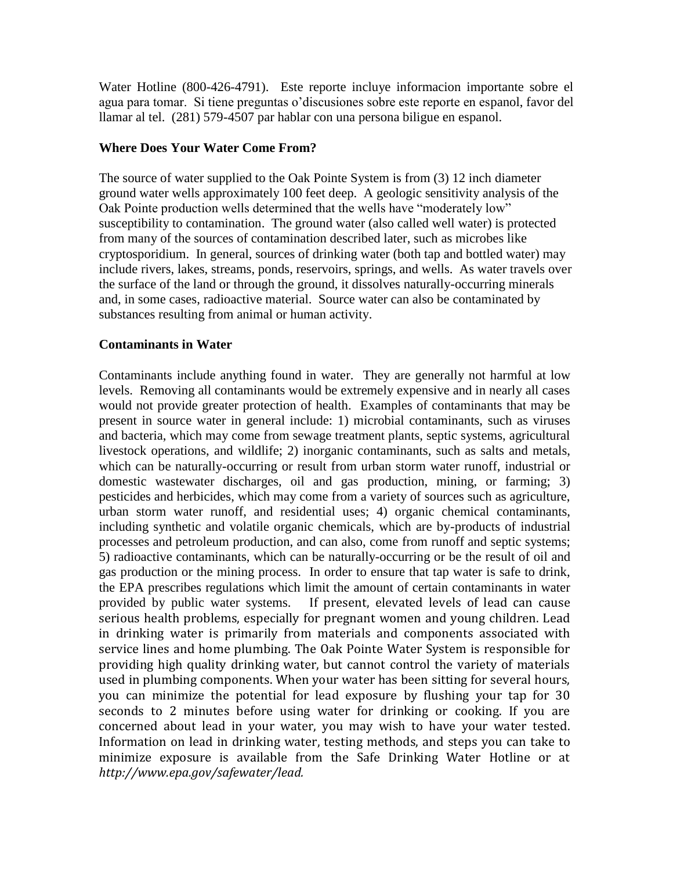Water Hotline (800-426-4791). Este reporte incluye informacion importante sobre el agua para tomar. Si tiene preguntas o'discusiones sobre este reporte en espanol, favor del llamar al tel. (281) 579-4507 par hablar con una persona biligue en espanol.

## **Where Does Your Water Come From?**

The source of water supplied to the Oak Pointe System is from (3) 12 inch diameter ground water wells approximately 100 feet deep. A geologic sensitivity analysis of the Oak Pointe production wells determined that the wells have "moderately low" susceptibility to contamination. The ground water (also called well water) is protected from many of the sources of contamination described later, such as microbes like cryptosporidium. In general, sources of drinking water (both tap and bottled water) may include rivers, lakes, streams, ponds, reservoirs, springs, and wells. As water travels over the surface of the land or through the ground, it dissolves naturally-occurring minerals and, in some cases, radioactive material. Source water can also be contaminated by substances resulting from animal or human activity.

## **Contaminants in Water**

Contaminants include anything found in water. They are generally not harmful at low levels. Removing all contaminants would be extremely expensive and in nearly all cases would not provide greater protection of health. Examples of contaminants that may be present in source water in general include: 1) microbial contaminants, such as viruses and bacteria, which may come from sewage treatment plants, septic systems, agricultural livestock operations, and wildlife; 2) inorganic contaminants, such as salts and metals, which can be naturally-occurring or result from urban storm water runoff, industrial or domestic wastewater discharges, oil and gas production, mining, or farming; 3) pesticides and herbicides, which may come from a variety of sources such as agriculture, urban storm water runoff, and residential uses; 4) organic chemical contaminants, including synthetic and volatile organic chemicals, which are by-products of industrial processes and petroleum production, and can also, come from runoff and septic systems; 5) radioactive contaminants, which can be naturally-occurring or be the result of oil and gas production or the mining process. In order to ensure that tap water is safe to drink, the EPA prescribes regulations which limit the amount of certain contaminants in water provided by public water systems. If present, elevated levels of lead can cause serious health problems, especially for pregnant women and young children. Lead in drinking water is primarily from materials and components associated with service lines and home plumbing. The Oak Pointe Water System is responsible for providing high quality drinking water, but cannot control the variety of materials used in plumbing components. When your water has been sitting for several hours, you can minimize the potential for lead exposure by flushing your tap for 30 seconds to 2 minutes before using water for drinking or cooking. If you are concerned about lead in your water, you may wish to have your water tested. Information on lead in drinking water, testing methods, and steps you can take to minimize exposure is available from the Safe Drinking Water Hotline or at *http://www.epa.gov/safewater/lead.*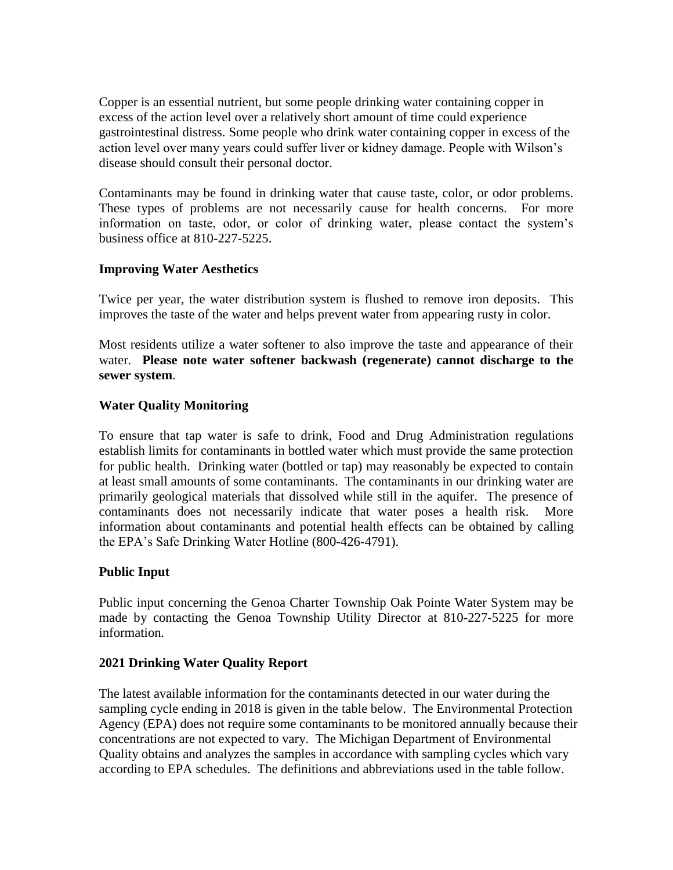Copper is an essential nutrient, but some people drinking water containing copper in excess of the action level over a relatively short amount of time could experience gastrointestinal distress. Some people who drink water containing copper in excess of the action level over many years could suffer liver or kidney damage. People with Wilson's disease should consult their personal doctor.

Contaminants may be found in drinking water that cause taste, color, or odor problems. These types of problems are not necessarily cause for health concerns. For more information on taste, odor, or color of drinking water, please contact the system's business office at 810-227-5225.

## **Improving Water Aesthetics**

Twice per year, the water distribution system is flushed to remove iron deposits. This improves the taste of the water and helps prevent water from appearing rusty in color.

Most residents utilize a water softener to also improve the taste and appearance of their water. **Please note water softener backwash (regenerate) cannot discharge to the sewer system**.

## **Water Quality Monitoring**

To ensure that tap water is safe to drink, Food and Drug Administration regulations establish limits for contaminants in bottled water which must provide the same protection for public health. Drinking water (bottled or tap) may reasonably be expected to contain at least small amounts of some contaminants. The contaminants in our drinking water are primarily geological materials that dissolved while still in the aquifer. The presence of contaminants does not necessarily indicate that water poses a health risk. More information about contaminants and potential health effects can be obtained by calling the EPA's Safe Drinking Water Hotline (800-426-4791).

## **Public Input**

Public input concerning the Genoa Charter Township Oak Pointe Water System may be made by contacting the Genoa Township Utility Director at 810-227-5225 for more information*.*

## **2021 Drinking Water Quality Report**

The latest available information for the contaminants detected in our water during the sampling cycle ending in 2018 is given in the table below. The Environmental Protection Agency (EPA) does not require some contaminants to be monitored annually because their concentrations are not expected to vary. The Michigan Department of Environmental Quality obtains and analyzes the samples in accordance with sampling cycles which vary according to EPA schedules. The definitions and abbreviations used in the table follow.